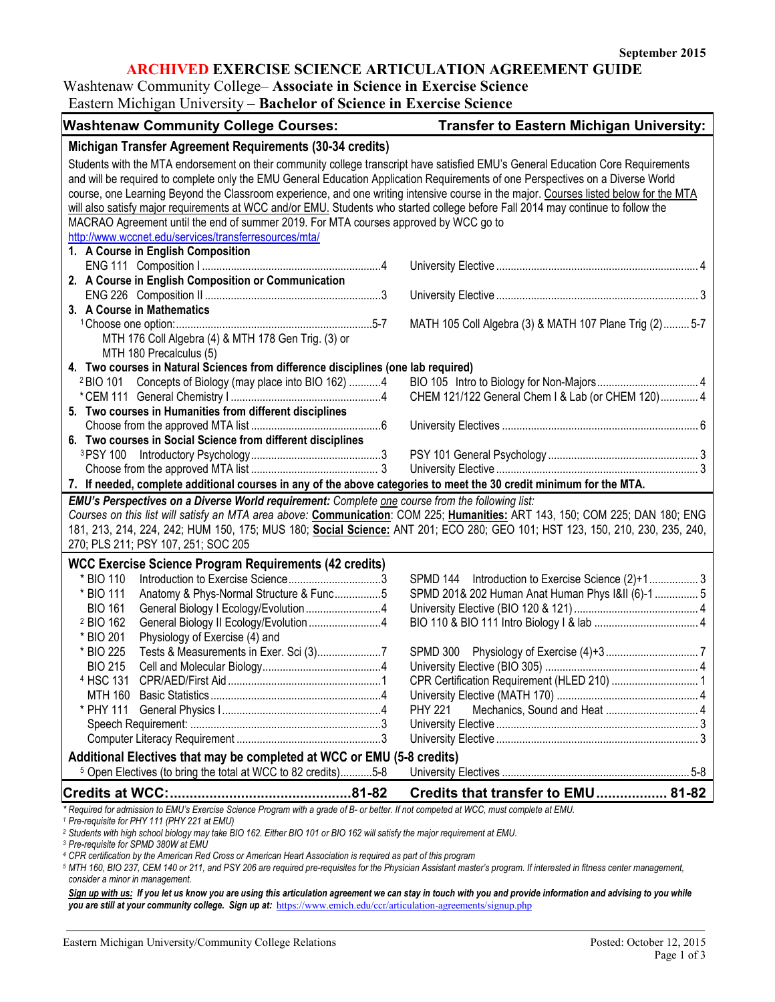# **ARCHIVED EXERCISE SCIENCE ARTICULATION AGREEMENT GUIDE**

## Washtenaw Community College– **Associate in Science in Exercise Science**

| Eastern Michigan University – Bachelor of Science in Exercise Science                                                                                                                           |                                                          |  |  |
|-------------------------------------------------------------------------------------------------------------------------------------------------------------------------------------------------|----------------------------------------------------------|--|--|
| <b>Washtenaw Community College Courses:</b>                                                                                                                                                     | <b>Transfer to Eastern Michigan University:</b>          |  |  |
| Michigan Transfer Agreement Requirements (30-34 credits)                                                                                                                                        |                                                          |  |  |
| Students with the MTA endorsement on their community college transcript have satisfied EMU's General Education Core Requirements                                                                |                                                          |  |  |
| and will be required to complete only the EMU General Education Application Requirements of one Perspectives on a Diverse World                                                                 |                                                          |  |  |
| course, one Learning Beyond the Classroom experience, and one writing intensive course in the major. Courses listed below for the MTA                                                           |                                                          |  |  |
| will also satisfy major requirements at WCC and/or EMU. Students who started college before Fall 2014 may continue to follow the                                                                |                                                          |  |  |
| MACRAO Agreement until the end of summer 2019. For MTA courses approved by WCC go to                                                                                                            |                                                          |  |  |
| http://www.wccnet.edu/services/transferresources/mta/                                                                                                                                           |                                                          |  |  |
| 1. A Course in English Composition                                                                                                                                                              |                                                          |  |  |
|                                                                                                                                                                                                 |                                                          |  |  |
| 2. A Course in English Composition or Communication                                                                                                                                             |                                                          |  |  |
|                                                                                                                                                                                                 |                                                          |  |  |
| 3. A Course in Mathematics                                                                                                                                                                      |                                                          |  |  |
|                                                                                                                                                                                                 | MATH 105 Coll Algebra (3) & MATH 107 Plane Trig (2)  5-7 |  |  |
| MTH 176 Coll Algebra (4) & MTH 178 Gen Trig. (3) or                                                                                                                                             |                                                          |  |  |
| MTH 180 Precalculus (5)                                                                                                                                                                         |                                                          |  |  |
| 4. Two courses in Natural Sciences from difference disciplines (one lab required)                                                                                                               |                                                          |  |  |
| Concepts of Biology (may place into BIO 162) 4<br><sup>2</sup> BIO 101                                                                                                                          |                                                          |  |  |
| 5. Two courses in Humanities from different disciplines                                                                                                                                         | CHEM 121/122 General Chem I & Lab (or CHEM 120) 4        |  |  |
|                                                                                                                                                                                                 |                                                          |  |  |
| 6. Two courses in Social Science from different disciplines                                                                                                                                     |                                                          |  |  |
|                                                                                                                                                                                                 |                                                          |  |  |
|                                                                                                                                                                                                 |                                                          |  |  |
| 7. If needed, complete additional courses in any of the above categories to meet the 30 credit minimum for the MTA.                                                                             |                                                          |  |  |
| EMU's Perspectives on a Diverse World requirement: Complete one course from the following list:                                                                                                 |                                                          |  |  |
| Courses on this list will satisfy an MTA area above: Communication: COM 225; Humanities: ART 143, 150; COM 225; DAN 180; ENG                                                                    |                                                          |  |  |
| 181, 213, 214, 224, 242; HUM 150, 175; MUS 180; Social Science: ANT 201; ECO 280; GEO 101; HST 123, 150, 210, 230, 235, 240,                                                                    |                                                          |  |  |
| 270; PLS 211; PSY 107, 251; SOC 205                                                                                                                                                             |                                                          |  |  |
| <b>WCC Exercise Science Program Requirements (42 credits)</b>                                                                                                                                   |                                                          |  |  |
| * BIO 110                                                                                                                                                                                       | SPMD 144 Introduction to Exercise Science (2)+1 3        |  |  |
| * BIO 111<br>Anatomy & Phys-Normal Structure & Func5                                                                                                                                            | SPMD 201& 202 Human Anat Human Phys I&II (6)-1  5        |  |  |
| <b>BIO 161</b><br>General Biology   Ecology/Evolution4                                                                                                                                          |                                                          |  |  |
| <sup>2</sup> BIO 162<br>General Biology II Ecology/Evolution 4                                                                                                                                  |                                                          |  |  |
| * BIO 201<br>Physiology of Exercise (4) and                                                                                                                                                     |                                                          |  |  |
| * BIO 225                                                                                                                                                                                       |                                                          |  |  |
| <b>BIO 215</b>                                                                                                                                                                                  |                                                          |  |  |
| <sup>4</sup> HSC 131                                                                                                                                                                            | CPR Certification Requirement (HLED 210)  1              |  |  |
| MTH 160                                                                                                                                                                                         |                                                          |  |  |
| * PHY 111                                                                                                                                                                                       | <b>PHY 221</b>                                           |  |  |
|                                                                                                                                                                                                 |                                                          |  |  |
|                                                                                                                                                                                                 |                                                          |  |  |
| Additional Electives that may be completed at WCC or EMU (5-8 credits)                                                                                                                          |                                                          |  |  |
| <sup>5</sup> Open Electives (to bring the total at WCC to 82 credits)5-8                                                                                                                        |                                                          |  |  |
| <b>Credits at WCC:</b>                                                                                                                                                                          | Credits that transfer to EMU 81-82                       |  |  |
| Required for admission to EMU's Exercise Science Program with a grade of B- or better. If not competed at WCC, must complete at EMU.<br><sup>1</sup> Pre-requisite for PHY 111 (PHY 221 at EMU) |                                                          |  |  |

*<sup>2</sup> Students with high school biology may take BIO 162. Either BIO 101 or BIO 162 will satisfy the major requirement at EMU.*

*<sup>3</sup> Pre-requisite for SPMD 380W at EMU*

*<sup>4</sup> CPR certification by the American Red Cross or American Heart Association is required as part of this program*

*<sup>5</sup> MTH 160, BIO 237, CEM 140 or 211, and PSY 206 are required pre-requisites for the Physician Assistant master's program. If interested in fitness center management, consider a minor in management.*

Sign up with us: If you let us know you are using this articulation agreement we can stay in touch with you and provide information and advising to you while *you are still at your community college. Sign up at:* <https://www.emich.edu/ccr/articulation-agreements/signup.php>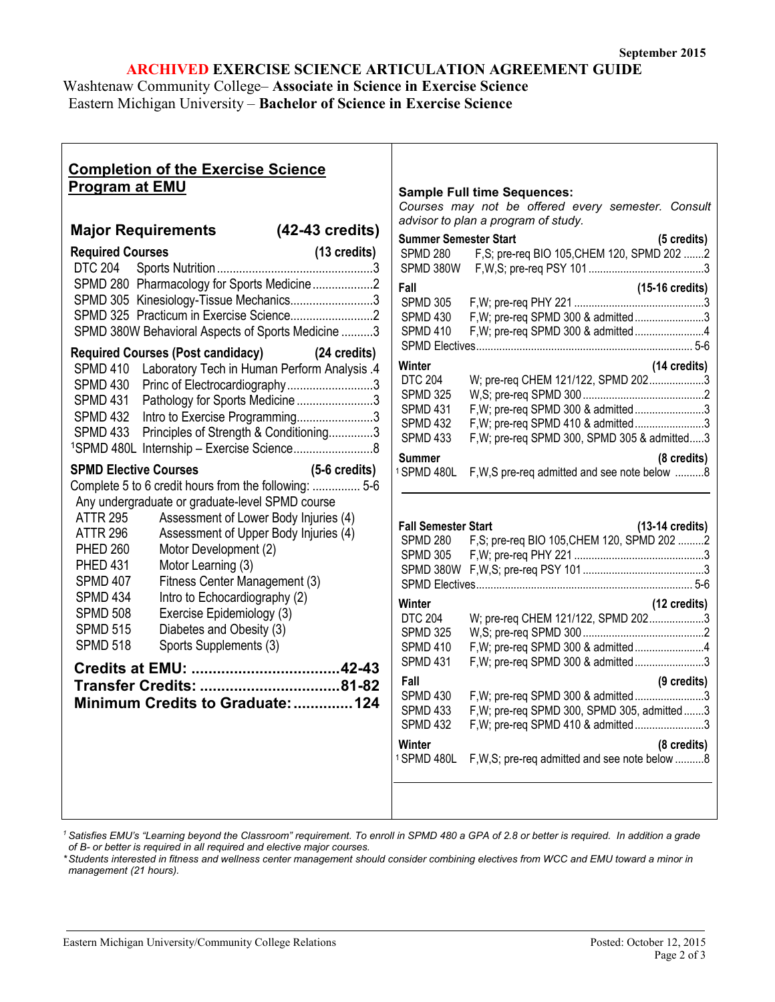## **ARCHIVED EXERCISE SCIENCE ARTICULATION AGREEMENT GUIDE**

Washtenaw Community College– **Associate in Science in Exercise Science** Eastern Michigan University – **Bachelor of Science in Exercise Science**

| <b>Completion of the Exercise Science</b><br><b>Program at EMU</b>                                                                                                                                                                                                                                                                                                                                                                                                                                                                                                                                                                      |                         |                                                                                                                                                                                                                                                             | <b>Sample Full time Sequences:</b><br>Courses may not be offered every semester. Consult<br>advisor to plan a program of study.                                                                                                                                                                                                                                                                                                                                       |
|-----------------------------------------------------------------------------------------------------------------------------------------------------------------------------------------------------------------------------------------------------------------------------------------------------------------------------------------------------------------------------------------------------------------------------------------------------------------------------------------------------------------------------------------------------------------------------------------------------------------------------------------|-------------------------|-------------------------------------------------------------------------------------------------------------------------------------------------------------------------------------------------------------------------------------------------------------|-----------------------------------------------------------------------------------------------------------------------------------------------------------------------------------------------------------------------------------------------------------------------------------------------------------------------------------------------------------------------------------------------------------------------------------------------------------------------|
| Major Requirements (42-43 credits)                                                                                                                                                                                                                                                                                                                                                                                                                                                                                                                                                                                                      |                         |                                                                                                                                                                                                                                                             |                                                                                                                                                                                                                                                                                                                                                                                                                                                                       |
| <b>Required Courses</b><br><b>DTC 204</b><br>SPMD 280 Pharmacology for Sports Medicine2<br>SPMD 305 Kinesiology-Tissue Mechanics3<br>SPMD 380W Behavioral Aspects of Sports Medicine 3<br>Required Courses (Post candidacy) (24 credits)<br>SPMD 410 Laboratory Tech in Human Perform Analysis .4                                                                                                                                                                                                                                                                                                                                       | $(13 \text{ credits})$  | <b>Summer Semester Start</b><br><b>SPMD 280</b><br>Fall<br><b>SPMD 305</b><br><b>SPMD 430</b><br><b>SPMD 410</b><br>Winter                                                                                                                                  | (5 credits)<br>F,S; pre-req BIO 105, CHEM 120, SPMD 202 2<br>$(15-16 \text{ credits})$<br>F, W; pre-req SPMD 300 & admitted3<br>F, W; pre-req SPMD 300 & admitted4<br>(14 credits)                                                                                                                                                                                                                                                                                    |
| Princ of Electrocardiography3<br>SPMD 430<br><b>SPMD 431</b><br>Pathology for Sports Medicine3<br><b>SPMD 432</b><br>Intro to Exercise Programming3<br><b>SPMD 433</b><br>Principles of Strength & Conditioning3<br><sup>1</sup> SPMD 480L Internship - Exercise Science8                                                                                                                                                                                                                                                                                                                                                               |                         | <b>DTC 204</b><br><b>SPMD 325</b><br><b>SPMD 431</b><br><b>SPMD 432</b><br><b>SPMD 433</b><br><b>Summer</b>                                                                                                                                                 | W; pre-req CHEM 121/122, SPMD 2023<br>F, W; pre-req SPMD 300 & admitted3<br>F, W; pre-req SPMD 410 & admitted3<br>F, W; pre-req SPMD 300, SPMD 305 & admitted3<br>$(8 \text{ credits})$                                                                                                                                                                                                                                                                               |
| <b>SPMD Elective Courses</b><br>Complete 5 to 6 credit hours from the following:  5-6<br>Any undergraduate or graduate-level SPMD course<br><b>ATTR 295</b><br>Assessment of Lower Body Injuries (4)<br><b>ATTR 296</b><br>Assessment of Upper Body Injuries (4)<br><b>PHED 260</b><br>Motor Development (2)<br>Motor Learning (3)<br><b>PHED 431</b><br><b>SPMD 407</b><br>Fitness Center Management (3)<br>Intro to Echocardiography (2)<br>SPMD 434<br><b>SPMD 508</b><br>Exercise Epidemiology (3)<br>Diabetes and Obesity (3)<br><b>SPMD 515</b><br><b>SPMD 518</b><br>Sports Supplements (3)<br>Minimum Credits to Graduate:  124 | $(5-6 \text{ credits})$ | <sup>1</sup> SPMD 480L<br><b>Fall Semester Start</b><br>SPMD 280<br>SPMD 305<br>Winter<br><b>DTC 204</b><br><b>SPMD 325</b><br><b>SPMD 410</b><br><b>SPMD 431</b><br>Fall<br><b>SPMD 430</b><br><b>SPMD 433</b><br><b>SPMD 432</b><br>Winter<br>1 SPMD 480L | F, W, S pre-req admitted and see note below 8<br>$(13-14 \text{ credits})$<br>F,S; pre-req BIO 105, CHEM 120, SPMD 202 2<br>(12 credits)<br>W; pre-req CHEM 121/122, SPMD 2023<br>F, W; pre-req SPMD 300 & admitted4<br>F, W; pre-req SPMD 300 & admitted3<br>(9 credits)<br>F, W; pre-req SPMD 300 & admitted3<br>F, W; pre-req SPMD 300, SPMD 305, admitted3<br>F, W; pre-req SPMD 410 & admitted3<br>(8 credits)<br>F, W, S; pre-req admitted and see note below 8 |

<sup>1</sup> Satisfies EMU's "Learning beyond the Classroom" requirement. To enroll in SPMD 480 a GPA of 2.8 or better is required. In addition a grade *of B- or better is required in all required and elective major courses.*

*\*Students interested in fitness and wellness center management should consider combining electives from WCC and EMU toward a minor in management (21 hours).*